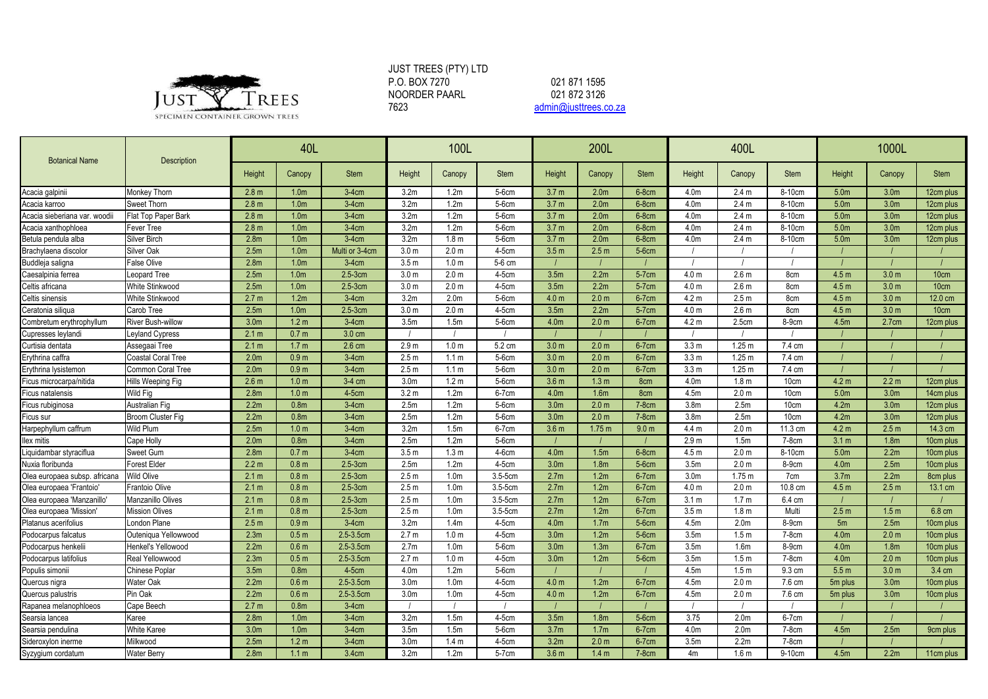

## JUST TREES (PTY) LTD P.O. BOX 7270 NOORDER PAARL<br>7623

[admin@justtrees.co.za](mailto:admin@justtrees.co.za) 021 871 1595 021 872 3126

| <b>Botanical Name</b>         | Description               | 40L              |                  |                | 100L             |                  |              |                  | 200L              |                  |                  | 400L              |                 | 1000L               |                  |                       |  |
|-------------------------------|---------------------------|------------------|------------------|----------------|------------------|------------------|--------------|------------------|-------------------|------------------|------------------|-------------------|-----------------|---------------------|------------------|-----------------------|--|
|                               |                           | Height           | Canopy           | <b>Stem</b>    | Height           | Canopy           | Stem         | Height           | Canopy            | <b>Stem</b>      | Height           | Canopy            | <b>Stem</b>     | Height              | Canopy           | <b>Stem</b>           |  |
| Acacia galpinii               | Monkey Thorn              | 2.8 <sub>m</sub> | 1.0 <sub>m</sub> | $3-4cm$        | 3.2 <sub>m</sub> | 1.2 <sub>m</sub> | 5-6cm        | 3.7 <sub>m</sub> | 2.0 <sub>m</sub>  | $6-8$ cm         | 4.0 <sub>m</sub> | 2.4 <sub>m</sub>  | 8-10cm          | 5.0 <sub>m</sub>    | 3.0 <sub>m</sub> | 12cm plus             |  |
| Acacia karroo                 | Sweet Thorn               | 2.8 <sub>m</sub> | 1.0 <sub>m</sub> | $3-4cm$        | 3.2 <sub>m</sub> | 1.2 <sub>m</sub> | 5-6cm        | 3.7 <sub>m</sub> | 2.0 <sub>m</sub>  | 6-8cm            | 4.0m             | 2.4 <sub>m</sub>  | 8-10cm          | 5.0 <sub>m</sub>    | 3.0 <sub>m</sub> | 12cm plus             |  |
| Acacia sieberiana var. woodii | Flat Top Paper Bark       | 2.8 <sub>m</sub> | 1.0 <sub>m</sub> | $3-4$ cm       | 3.2 <sub>m</sub> | 1.2 <sub>m</sub> | 5-6cm        | 3.7 <sub>m</sub> | 2.0 <sub>m</sub>  | $6-8cm$          | 4.0 <sub>m</sub> | 2.4 <sub>m</sub>  | 8-10cm          | 5.0 <sub>m</sub>    | 3.0 <sub>m</sub> | 12cm plus             |  |
| Acacia xanthophloea           | Fever Tree                | 2.8 <sub>m</sub> | 1.0 <sub>m</sub> | $3-4$ cm       | 3.2 <sub>m</sub> | 1.2 <sub>m</sub> | 5-6cm        | 3.7 <sub>m</sub> | 2.0 <sub>m</sub>  | $6-8cm$          | 4.0m             | 2.4 <sub>m</sub>  | 8-10cm          | 5.0 <sub>m</sub>    | 3.0 <sub>m</sub> | 12cm plus             |  |
| Betula pendula alba           | Silver Birch              | 2.8 <sub>m</sub> | 1.0 <sub>m</sub> | $3-4$ cm       | 3.2 <sub>m</sub> | 1.8 <sub>m</sub> | 5-6cm        | 3.7 <sub>m</sub> | 2.0 <sub>m</sub>  | $6-8cm$          | 4.0m             | 2.4 <sub>m</sub>  | 8-10cm          | 5.0 <sub>m</sub>    | 3.0 <sub>m</sub> | 12cm plus             |  |
| Brachylaena discolor          | <b>Silver Oak</b>         | 2.5m             | 1.0 <sub>m</sub> | Multi or 3-4cm | 3.0 <sub>m</sub> | 2.0 <sub>m</sub> | $4-5cm$      | 3.5 <sub>m</sub> | 2.5 <sub>m</sub>  | 5-6cm            |                  |                   |                 |                     |                  |                       |  |
| Buddleja saligna              | <b>False Olive</b>        | 2.8 <sub>m</sub> | 1.0 <sub>m</sub> | $3-4cm$        | 3.5 <sub>m</sub> | 1.0 <sub>m</sub> | 5-6 cm       |                  |                   |                  |                  |                   |                 |                     |                  |                       |  |
| Caesalpinia ferrea            | eopard Tree               | 2.5m             | 1.0 <sub>m</sub> | $2.5-3cm$      | 3.0 <sub>m</sub> | 2.0 <sub>m</sub> | $4-5cm$      | 3.5m             | 2.2m              | 5-7cm            | 4.0 <sub>m</sub> | 2.6 <sub>m</sub>  | 8cm             | 4.5 <sub>m</sub>    | 3.0 <sub>m</sub> | 10cm                  |  |
| Celtis africana               | White Stinkwood           | 2.5m             | 1.0 <sub>m</sub> | $2.5-3cm$      | 3.0 <sub>m</sub> | 2.0 <sub>m</sub> | $4-5cm$      | 3.5m             | 2.2m              | 5-7cm            | 4.0 <sub>m</sub> | 2.6 <sub>m</sub>  | 8cm             | 4.5 <sub>m</sub>    | 3.0 <sub>m</sub> | 10cm                  |  |
| Celtis sinensis               | White Stinkwood           | 2.7 <sub>m</sub> | 1.2 <sub>m</sub> | $3-4$ cm       | 3.2 <sub>m</sub> | 2.0 <sub>m</sub> | 5-6cm        | 4.0 <sub>m</sub> | 2.0 <sub>m</sub>  | 6-7cm            | 4.2 <sub>m</sub> | 2.5 <sub>m</sub>  | 8cm             | 4.5 <sub>m</sub>    | 3.0 <sub>m</sub> | 12.0 cm               |  |
| Ceratonia siligua             | Carob Tree                | 2.5m             | 1.0 <sub>m</sub> | $2.5 - 3$ cm   | 3.0 <sub>m</sub> | 2.0 <sub>m</sub> | $4-5cm$      | 3.5 <sub>m</sub> | 2.2 <sub>m</sub>  | 5-7cm            | 4.0 <sub>m</sub> | 2.6 <sub>m</sub>  | 8cm             | 4.5 <sub>m</sub>    | 3.0 <sub>m</sub> | 10cm                  |  |
| Combretum erythrophyllum      | <b>River Bush-willow</b>  | 3.0 <sub>m</sub> | 1.2 <sub>m</sub> | $3-4$ cm       | 3.5 <sub>m</sub> | 1.5m             | 5-6cm        | 4.0 <sub>m</sub> | 2.0 <sub>m</sub>  | 6-7cm            | 4.2 <sub>m</sub> | 2.5cm             | 8-9cm           | 4.5m                | 2.7cm            | 12cm plus             |  |
| Cupresses leylandi            | Leyland Cypress           | 2.1 m            | 0.7 <sub>m</sub> | 3.0 cm         |                  |                  |              |                  |                   |                  |                  |                   |                 |                     |                  |                       |  |
| Curtisia dentata              | Assegaai Tree             | 2.1 m            | 1.7 <sub>m</sub> | 2.6 cm         | 2.9 <sub>m</sub> | 1.0 <sub>m</sub> | 5.2 cm       | 3.0 <sub>m</sub> | 2.0 <sub>m</sub>  | 6-7cm            | 3.3 <sub>m</sub> | 1.25 <sub>m</sub> | 7.4 cm          |                     |                  |                       |  |
| Erythrina caffra              | Coastal Coral Tree        | 2.0 <sub>m</sub> | 0.9 <sub>m</sub> | $3-4$ cm       | 2.5 <sub>m</sub> | 1.1 <sub>m</sub> | 5-6cm        | 3.0 <sub>m</sub> | 2.0 <sub>m</sub>  | 6-7cm            | 3.3 <sub>m</sub> | 1.25 m            | 7.4 cm          |                     |                  |                       |  |
| Erythrina lysistemon          | Common Coral Tree         | 2.0 <sub>m</sub> | 0.9 <sub>m</sub> | $3-4$ cm       | 2.5 <sub>m</sub> | 1.1 <sub>m</sub> | 5-6cm        | 3.0 <sub>m</sub> | 2.0 <sub>m</sub>  | 6-7cm            | 3.3 <sub>m</sub> | $1.25 \text{ m}$  | 7.4 cm          |                     |                  |                       |  |
| Ficus microcarpa/nitida       | Hills Weeping Fig         | 2.6 <sub>m</sub> | 1.0 <sub>m</sub> | 3-4 cm         | 3.0 <sub>m</sub> | 1.2 <sub>m</sub> | 5-6cm        | 3.6 <sub>m</sub> | 1.3 <sub>m</sub>  | 8 <sub>cm</sub>  | 4.0m             | 1.8 <sub>m</sub>  | 10cm            | 4.2 <sub>m</sub>    | 2.2 <sub>m</sub> | 12cm plus             |  |
| Ficus natalensis              | Wild Fig                  | 2.8m             | 1.0 <sub>m</sub> | 4-5cm          | 3.2 <sub>m</sub> | 1.2 <sub>m</sub> | 6-7cm        | 4.0m             | 1.6 <sub>m</sub>  | 8cm              | 4.5m             | 2.0 <sub>m</sub>  | 10cm            | 5.0 <sub>m</sub>    | 3.0 <sub>m</sub> | 14cm plus             |  |
| Ficus rubiginosa              | Australian Fig            | 2.2m             | 0.8 <sub>m</sub> | $3-4$ cm       | 2.5 <sub>m</sub> | 1.2 <sub>m</sub> | 5-6cm        | 3.0 <sub>m</sub> | 2.0 <sub>m</sub>  | $7-8cm$          | 3.8 <sub>m</sub> | 2.5 <sub>m</sub>  | 10cm            | 4.2 <sub>m</sub>    | 3.0 <sub>m</sub> | 12cm plus             |  |
| icus sur                      | <b>Broom Cluster Fig.</b> | 2.2 <sub>m</sub> | 0.8 <sub>m</sub> | $3-4$ cm       | 2.5 <sub>m</sub> | 1.2 <sub>m</sub> | 5-6cm        | 3.0 <sub>m</sub> | 2.0 <sub>m</sub>  | $7-8cm$          | 3.8 <sub>m</sub> | 2.5 <sub>m</sub>  | 10cm            | 4.2 <sub>m</sub>    | 3.0 <sub>m</sub> | 12cm plus             |  |
| Harpephyllum caffrum          | Wild Plum                 | 2.5 <sub>m</sub> | 1.0 <sub>m</sub> | $3-4$ cm       | 3.2 <sub>m</sub> | 1.5m             | 6-7cm        | 3.6 <sub>m</sub> | 1.75 <sub>m</sub> | 9.0 <sub>m</sub> | 4.4 <sub>m</sub> | 2.0 <sub>m</sub>  | 11.3 cm         | 4.2 <sub>m</sub>    | 2.5 <sub>m</sub> | 14.3 cm               |  |
| llex mitis                    | Cape Holly                | 2.0 <sub>m</sub> | 0.8 <sub>m</sub> | $3-4$ cm       | 2.5m             | 1.2 <sub>m</sub> | 5-6cm        |                  |                   |                  | 2.9 <sub>m</sub> | 1.5m              | 7-8cm           | 3.1 <sub>m</sub>    | 1.8 <sub>m</sub> | 10cm plus             |  |
| iquidambar styraciflua        | Sweet Gum                 | 2.8 <sub>m</sub> | 0.7 <sub>m</sub> | $3-4cm$        | 3.5 <sub>m</sub> | 1.3 <sub>m</sub> | $4-6cm$      | 4.0m             | 1.5m              | 6-8cm            | 4.5 <sub>m</sub> | 2.0 <sub>m</sub>  | 8-10cm          | 5.0 <sub>m</sub>    | 2.2 <sub>m</sub> | 10cm plus             |  |
| Nuxia floribunda              | <b>Forest Elder</b>       | 2.2 m            | 0.8 <sub>m</sub> | $2.5-3cm$      | 2.5m             | 1.2m             | 4-5cm        | 3.0 <sub>m</sub> | 1.8 <sub>m</sub>  | 5-6cm            | 3.5 <sub>m</sub> | 2.0 <sub>m</sub>  | 8-9cm           | 4.0 <sub>m</sub>    | 2.5m             | 10cm plus             |  |
| Olea europaea subsp. africana | <b>Wild Olive</b>         | 2.1 m            | 0.8 <sub>m</sub> | $2.5 - 3$ cm   | 2.5 <sub>m</sub> | 1.0 <sub>m</sub> | 3.5-5cm      | 2.7 <sub>m</sub> | 1.2 <sub>m</sub>  | 6-7cm            | 3.0 <sub>m</sub> | 1.75 <sub>m</sub> | 7 <sub>cm</sub> | 3.7 <sub>m</sub>    | 2.2 <sub>m</sub> | 8cm plus              |  |
| Olea europaea 'Frantoio'      | Frantoio Olive            | 2.1 m            | 0.8 <sub>m</sub> | $2.5-3cm$      | 2.5 <sub>m</sub> | 1.0 <sub>m</sub> | $3.5 - 5$ cm | 2.7m             | 1.2m              | 6-7cm            | 4.0 <sub>m</sub> | 2.0 <sub>m</sub>  | 10.8 cm         | 4.5 <sub>m</sub>    | 2.5 <sub>m</sub> | 13.1 cm               |  |
| Olea europaea 'Manzanillo'    | Manzanillo Olives         | 2.1 m            | 0.8 <sub>m</sub> | $2.5 - 3$ cm   | 2.5 <sub>m</sub> | 1.0 <sub>m</sub> | $3.5 - 5$ cm | 2.7 <sub>m</sub> | 1.2 <sub>m</sub>  | $6-7$ cm         | 3.1 <sub>m</sub> | 1.7 <sub>m</sub>  | 6.4 cm          |                     |                  |                       |  |
| Olea europaea 'Mission'       | <b>Mission Olives</b>     | 2.1 m            | 0.8 <sub>m</sub> | $2.5 - 3$ cm   | 2.5 <sub>m</sub> | 1.0 <sub>m</sub> | 3.5-5cm      | 2.7 <sub>m</sub> | 1.2 <sub>m</sub>  | 6-7cm            | 3.5 <sub>m</sub> | 1.8 <sub>m</sub>  | Multi           | 2.5 <sub>m</sub>    | 1.5 <sub>m</sub> | 6.8 cm                |  |
| Platanus acerifolius          | London Plane              | 2.5 m            | 0.9 <sub>m</sub> | $3-4$ cm       | 3.2 <sub>m</sub> | 1.4 <sub>m</sub> | $4-5cm$      | 4.0 <sub>m</sub> | 1.7 <sub>m</sub>  | 5-6cm            | 4.5m             | 2.0 <sub>m</sub>  | 8-9cm           | 5 <sub>m</sub>      | 2.5 <sub>m</sub> | 10cm plus             |  |
| Podocarpus falcatus           | Outeniqua Yellowwood      | 2.3m             | 0.5 <sub>m</sub> | $2.5 - 3.5$ cm | 2.7 <sub>m</sub> | 1.0 <sub>m</sub> | $4-5cm$      | 3.0 <sub>m</sub> | 1.2 <sub>m</sub>  | 5-6cm            | 3.5m             | 1.5 <sub>m</sub>  | 7-8cm           | 4.0 <sub>m</sub>    | 2.0 <sub>m</sub> | 10cm plus             |  |
| Podocarpus henkelii           | Henkel's Yellowood        | 2.2 <sub>m</sub> | 0.6 <sub>m</sub> | 2.5-3.5cm      | 2.7 <sub>m</sub> | 1.0 <sub>m</sub> | 5-6cm        | 3.0 <sub>m</sub> | 1.3 <sub>m</sub>  | 6-7cm            | 3.5 <sub>m</sub> | 1.6 <sub>m</sub>  | 8-9cm           | 4.0m                | 1.8 <sub>m</sub> | 10cm plus             |  |
| Podocarpus latifolius         | Real Yellowwood           | 2.3m             | 0.5 <sub>m</sub> | 2.5-3.5cm      | 2.7 <sub>m</sub> | 1.0 <sub>m</sub> | 4-5cm        | 3.0 <sub>m</sub> | 1.2m              | $5-6cm$          | 3.5 <sub>m</sub> | 1.5 <sub>m</sub>  | 7-8cm           | 4.0m                | 2.0 <sub>m</sub> | 10cm plus             |  |
| Populis simonii               | Chinese Poplar            | 3.5 <sub>m</sub> | 0.8 <sub>m</sub> | $4-5cm$        | 4.0 <sub>m</sub> | 1.2 <sub>m</sub> | 5-6cm        |                  |                   |                  | 4.5m             | 1.5 <sub>m</sub>  | 9.3 cm          | 5.5 <sub>m</sub>    | 3.0 <sub>m</sub> | 3.4 cm                |  |
| Quercus nigra                 | Water Oak                 | 2.2 <sub>m</sub> | 0.6 <sub>m</sub> | $2.5 - 3.5$ cm | 3.0 <sub>m</sub> | 1.0 <sub>m</sub> | $4-5cm$      | 4.0 <sub>m</sub> | 1.2 <sub>m</sub>  | 6-7cm            | 4.5m             | 2.0 <sub>m</sub>  | 7.6 cm          | 5m plus             | 3.0 <sub>m</sub> | 10cm plus             |  |
| Quercus palustris             | Pin Oak                   | 2.2m             | 0.6 <sub>m</sub> | 2.5-3.5cm      | 3.0 <sub>m</sub> | 1.0 <sub>m</sub> | $4-5cm$      | 4.0 <sub>m</sub> | 1.2 <sub>m</sub>  | 6-7cm            | 4.5m             | 2.0 <sub>m</sub>  | 7.6 cm          | 5 <sub>m</sub> plus | 3.0 <sub>m</sub> | 10cm plus             |  |
| Rapanea melanophloeos         | Cape Beech                | 2.7 <sub>m</sub> | 0.8 <sub>m</sub> | $3-4cm$        |                  |                  |              |                  |                   |                  |                  |                   |                 |                     |                  |                       |  |
| Searsia lancea                | Karee                     | 2.8 <sub>m</sub> | 1.0 <sub>m</sub> | $3-4$ cm       | 3.2m             | 1.5 <sub>m</sub> | $4-5cm$      | 3.5 <sub>m</sub> | 1.8 <sub>m</sub>  | 5-6cm            | 3.75             | 2.0 <sub>m</sub>  | 6-7cm           |                     |                  |                       |  |
| Searsia pendulina             | White Karee               | 3.0 <sub>m</sub> | 1.0 <sub>m</sub> | $3-4cm$        | 3.5 <sub>m</sub> | 1.5 <sub>m</sub> | 5-6cm        | 3.7 <sub>m</sub> | 1.7 <sub>m</sub>  | 6-7cm            | 4.0m             | 2.0 <sub>m</sub>  | $7-8cm$         | 4.5 <sub>m</sub>    | 2.5 <sub>m</sub> | 9cm plus              |  |
| Sideroxylon inerme            | Milkwood                  | 2.5m             | 1.2 <sub>m</sub> | $3-4cm$        | 3.0 <sub>m</sub> | 1.4 <sub>m</sub> | $4-5cm$      | 3.2m             | 2.0 <sub>m</sub>  | $6 - 7$ cm       | 3.5m             | 2.2m              | $7-8cm$         |                     |                  |                       |  |
| Syzygium cordatum             | <b>Water Berry</b>        | 2.8 <sub>m</sub> | 1.1 m            | 3.4cm          | 3.2 <sub>m</sub> | 1.2m             | 5-7cm        | 3.6 <sub>m</sub> | 1.4 <sub>m</sub>  | $7-8cm$          | 4 <sub>m</sub>   | 1.6 <sub>m</sub>  | 9-10cm          | 4.5m                | 2.2 <sub>m</sub> | 11 <sub>cm</sub> plus |  |